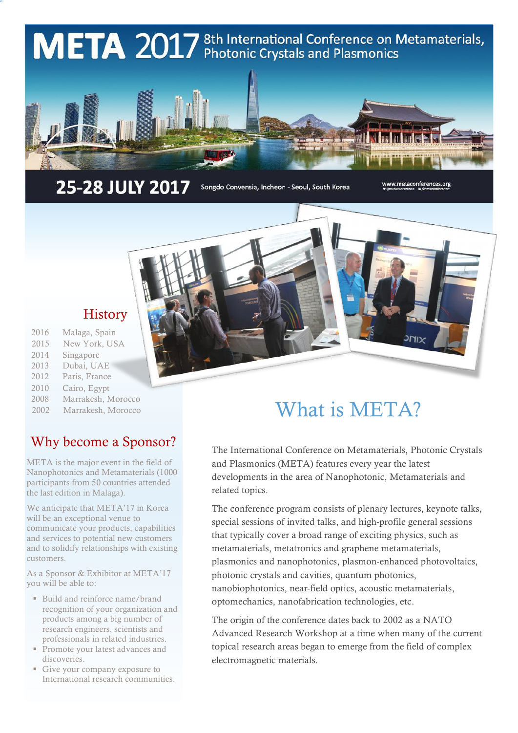

25-28 JULY 2017

Songdo Convensia, Incheon - Seoul, South Korea

www.metaconferences.org

### **History**

- 2016 Malaga, Spain
- 2015 New York, USA
- 2014 Singapore
- 2013 Dubai, UAE
- 2012 Paris, France
- 2010 Cairo, Egypt
- 2008 Marrakesh, Morocco
- 2002 Marrakesh, Morocco

# Why become a Sponsor?

META is the major event in the field of Nanophotonics and Metamaterials (1000 participants from 50 countries attended the last edition in Malaga).

We anticipate that META'17 in Korea will be an exceptional venue to communicate your products, capabilities and services to potential new customers and to solidify relationships with existing customers.

As a Sponsor & Exhibitor at META'17 you will be able to:

- Build and reinforce name/brand recognition of your organization and products among a big number of research engineers, scientists and professionals in related industries.
- Promote your latest advances and discoveries.
- Give your company exposure to International research communities.

# What is META?

The International Conference on Metamaterials, Photonic Crystals and Plasmonics (META) features every year the latest developments in the area of Nanophotonic, Metamaterials and related topics.

The conference program consists of plenary lectures, keynote talks, special sessions of invited talks, and high-profile general sessions that typically cover a broad range of exciting physics, such as metamaterials, metatronics and graphene metamaterials, plasmonics and nanophotonics, plasmon-enhanced photovoltaics, photonic crystals and cavities, quantum photonics, nanobiophotonics, near-field optics, acoustic metamaterials, optomechanics, nanofabrication technologies, etc.

The origin of the conference dates back to 2002 as a NATO Advanced Research Workshop at a time when many of the current topical research areas began to emerge from the field of complex electromagnetic materials.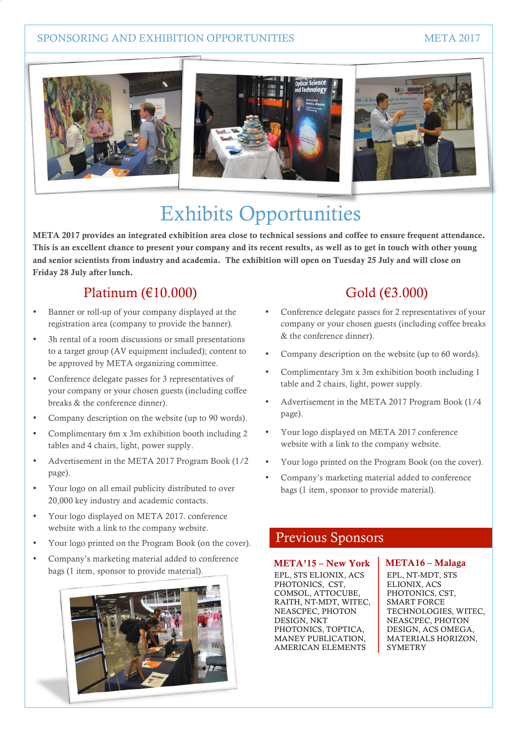#### SPONSORING AND EXHIBITION OPPORTUNITIES **SPONSORING AND EXHIBITION** OPPORTUNITIES



# Exhibits Opportunities

META 2017 provides an integrated exhibition area close to technical sessions and coffee to ensure frequent attendance. This is an excellent chance to present your company and its recent results, as well as to get in touch with other young and senior scientists from industry and academia. The exhibition will open on Tuesday 25 July and will close on Friday 28 July after lunch.

## Platinum  $(\text{\textsterling}10.000)$

- Banner or roll-up of your company displayed at the registration area (company to provide the banner).
- 3h rental of a room discussions or small presentations to a target group (AV equipment included); content to be approved by META organizing committee.
- Conference delegate passes for 3 representatives of your company or your chosen guests (including coffee breaks & the conference dinner).
- Company description on the website (up to 90 words).
- Complimentary 6m x 3m exhibition booth including 2 tables and 4 chairs, light, power supply.
- Advertisement in the META 2017 Program Book (1/2 page).
- Your logo on all email publicity distributed to over 20,000 key industry and academic contacts.
- Your logo displayed on META 2017. conference website with a link to the company website.
- Your logo printed on the Program Book (on the cover).
- Company's marketing material added to conference bags (1 item, sponsor to provide material).



## Gold (€3.000)

- Conference delegate passes for 2 representatives of your company or your chosen guests (including coffee breaks & the conference dinner).
- Company description on the website (up to 60 words).
- Complimentary 3m x 3m exhibition booth including 1 table and 2 chairs, light, power supply.
- Advertisement in the META 2017 Program Book (1/4 page).
- Your logo displayed on META 2017 conference website with a link to the company website.
- Your logo printed on the Program Book (on the cover).
- Company's marketing material added to conference bags (1 item, sponsor to provide material).

### Previous Sponsors

#### META'15 – New York

EPL, STS ELIONIX, ACS PHOTONICS, CST, COMSOL, ATTOCUBE, RAITH, NT-MDT, WITEC, NEASCPEC, PHOTON DESIGN, NKT PHOTONICS, TOPTICA, MANEY PUBLICATION, AMERICAN ELEMENTS

#### META16 – Malaga

EPL, NT-MDT, STS ELIONIX, ACS PHOTONICS, CST, SMART FORCE TECHNOLOGIES, WITEC, NEASCPEC, PHOTON DESIGN, ACS OMEGA, MATERIALS HORIZON, SYMETRY